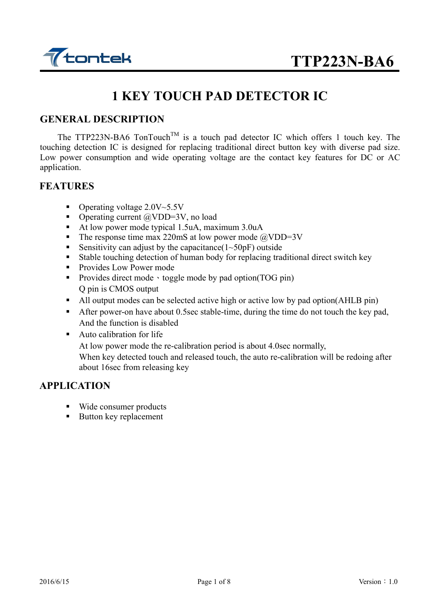

## **1 KEY TOUCH PAD DETECTOR IC**

#### **GENERAL DESCRIPTION**

The TTP223N-BA6 TonTouch<sup>TM</sup> is a touch pad detector IC which offers 1 touch key. The touching detection IC is designed for replacing traditional direct button key with diverse pad size. Low power consumption and wide operating voltage are the contact key features for DC or AC application.

#### **FEATURES**

- Operating voltage  $2.0V~5.5V$
- Operating current  $\omega$ VDD=3V, no load
- At low power mode typical 1.5uA, maximum 3.0uA
- The response time max 220mS at low power mode  $\omega$ VDD=3V
- Sensitivity can adjust by the capacitance  $(1 \sim 50 \text{pF})$  outside
- Stable touching detection of human body for replacing traditional direct switch key
- **Provides Low Power mode**
- Provides direct mode · toggle mode by pad option(TOG pin) Q pin is CMOS output
- All output modes can be selected active high or active low by pad option(AHLB pin)
- After power-on have about 0.5sec stable-time, during the time do not touch the key pad, And the function is disabled
- **Auto calibration for life**

At low power mode the re-calibration period is about 4.0sec normally,

When key detected touch and released touch, the auto re-calibration will be redoing after about 16sec from releasing key

### **APPLICATION**

- Wide consumer products
- Button key replacement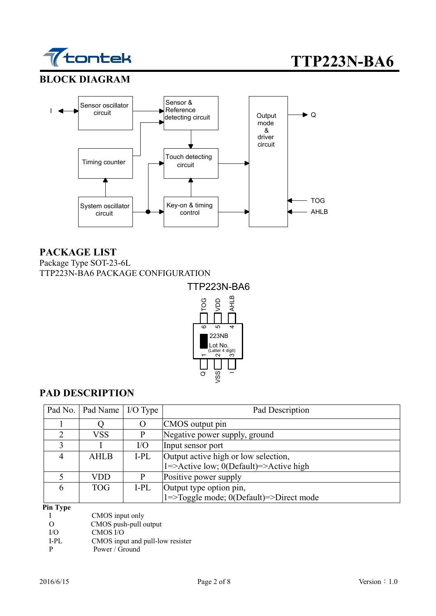

### **BLOCK DIAGRAM**



### **PACKAGE LIST**

Package Type SOT-23-6L TTP223N-BA6 PACKAGE CONFIGURATION



## **PAD DESCRIPTION**

|               | Pad No.   Pad Name   I/O Type |      | Pad Description                         |
|---------------|-------------------------------|------|-----------------------------------------|
|               |                               |      | CMOS output pin                         |
| $\mathcal{D}$ | VSS                           | P    | Negative power supply, ground           |
|               |                               | I/O  | Input sensor port                       |
|               | <b>AHLB</b>                   | I-PL | Output active high or low selection,    |
|               |                               |      | 1=>Active low; 0(Default)=>Active high  |
|               | VDD                           |      | Positive power supply                   |
| 6             | <b>TOG</b>                    | I-PL | Output type option pin,                 |
|               |                               |      | 1=>Toggle mode; 0(Default)=>Direct mode |

#### **Pin Type**

| CMOS input only |
|-----------------|
|                 |

O CMOS push-pull output<br>I/O CMOS I/O

I/O CMOS I/O<br>I-PL CMOS inpu

I-PL CMOS input and pull-low resister<br>P Power / Ground

Power / Ground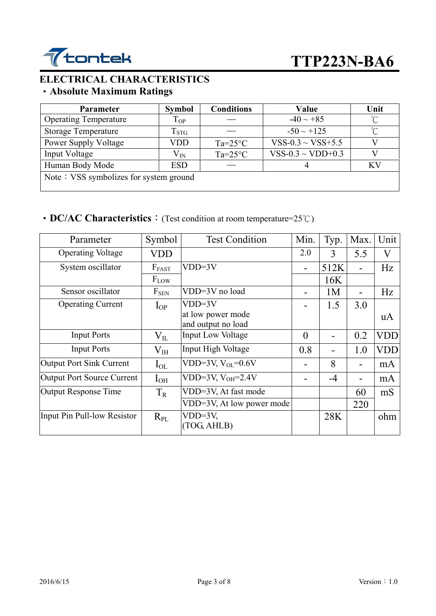

# **ELECTRICAL CHARACTERISTICS**

## ‧**Absolute Maximum Ratings**

| <b>Parameter</b>                       | <b>Symbol</b>      | <b>Conditions</b> | Value                  | Unit |  |  |
|----------------------------------------|--------------------|-------------------|------------------------|------|--|--|
| <b>Operating Temperature</b>           | $T_{OP}$           |                   | $-40 \sim +85$         | °C   |  |  |
| <b>Storage Temperature</b>             | $\mathrm{T_{STG}}$ |                   | $-50 \sim +125$        | ∽    |  |  |
| Power Supply Voltage                   | VDD                | $Ta=25^{\circ}C$  | $VSS-0.3 \sim VSS+5.5$ |      |  |  |
| Input Voltage                          | $\rm V_{\rm IN}$   | $Ta=25^{\circ}C$  | VSS-0.3 ~ VDD+0.3      |      |  |  |
| Human Body Mode                        | <b>ESD</b>         |                   |                        | КV   |  |  |
| Note: VSS symbolizes for system ground |                    |                   |                        |      |  |  |

## • **DC/AC Characteristics**: (Test condition at room temperature=25°C)

| Parameter                         | Symbol       | <b>Test Condition</b>                   | Min.     | Typ. | Max.           | Unit       |
|-----------------------------------|--------------|-----------------------------------------|----------|------|----------------|------------|
| <b>Operating Voltage</b>          | <b>VDD</b>   |                                         | 2.0      | 3    | 5.5            | V          |
| System oscillator                 | $F_{FAST}$   | $VDD=3V$                                |          | 512K | $\blacksquare$ | Hz         |
|                                   | $F_{LOW}$    |                                         |          | 16K  |                |            |
| Sensor oscillator                 | $F_{SEN}$    | VDD=3V no load                          |          | 1M   |                | Hz         |
| <b>Operating Current</b>          | $I_{OP}$     | $VDD=3V$                                |          | 1.5  | 3.0            |            |
|                                   |              | at low power mode<br>and output no load |          |      |                | uA         |
| <b>Input Ports</b>                | $V_{\rm IL}$ | <b>Input Low Voltage</b>                | $\theta$ |      | 0.2            | <b>VDD</b> |
| <b>Input Ports</b>                | $\rm V_{IH}$ | Input High Voltage                      | 0.8      |      | 1.0            | VDD        |
| <b>Output Port Sink Current</b>   | $I_{OL}$     | VDD=3V, $V_{OL}$ =0.6V                  |          | 8    |                | mA         |
| <b>Output Port Source Current</b> | $I_{OH}$     | VDD=3V, $V_{OH}$ =2.4V                  |          | $-4$ |                | mA         |
| <b>Output Response Time</b>       | $T_R$        | VDD=3V, At fast mode                    |          |      | 60             | mS         |
|                                   |              | VDD=3V, At low power mode               |          |      | 220            |            |
| Input Pin Pull-low Resistor       | $R_{PL}$     | $VDD=3V,$<br>(TOG, AHLB)                |          | 28K  |                | ohm        |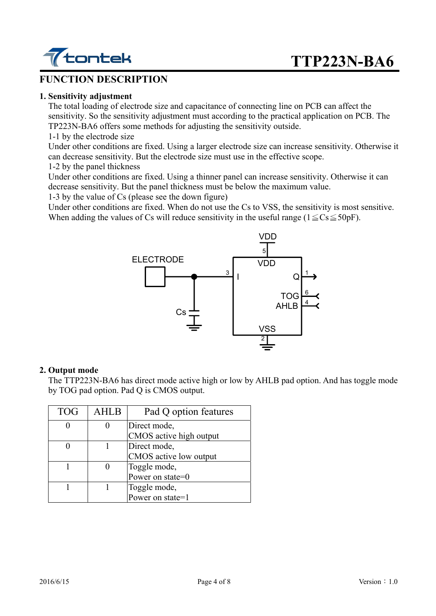

#### **FUNCTION DESCRIPTION**

#### **1. Sensitivity adjustment**

 The total loading of electrode size and capacitance of connecting line on PCB can affect the sensitivity. So the sensitivity adjustment must according to the practical application on PCB. The TP223N-BA6 offers some methods for adjusting the sensitivity outside.

#### 1-1 by the electrode size

Under other conditions are fixed. Using a larger electrode size can increase sensitivity. Otherwise it can decrease sensitivity. But the electrode size must use in the effective scope.

1-2 by the panel thickness

Under other conditions are fixed. Using a thinner panel can increase sensitivity. Otherwise it can decrease sensitivity. But the panel thickness must be below the maximum value.

1-3 by the value of Cs (please see the down figure)

Under other conditions are fixed. When do not use the Cs to VSS, the sensitivity is most sensitive. When adding the values of Cs will reduce sensitivity in the useful range ( $1 \leq Cs \leq 50p$ F).



#### **2. Output mode**

 The TTP223N-BA6 has direct mode active high or low by AHLB pad option. And has toggle mode by TOG pad option. Pad Q is CMOS output.

| <b>TOG</b> | <b>AHLB</b> | Pad Q option features                   |
|------------|-------------|-----------------------------------------|
|            |             | Direct mode,<br>CMOS active high output |
|            |             | Direct mode,<br>CMOS active low output  |
|            |             | Toggle mode,<br>Power on state=0        |
|            |             | Toggle mode,<br>Power on state=1        |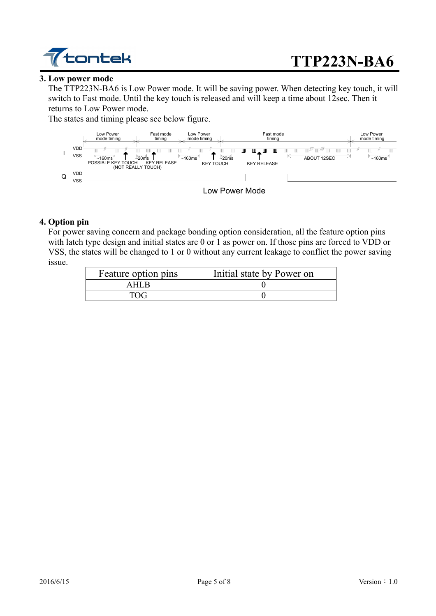

#### **3. Low power mode**

The TTP223N-BA6 is Low Power mode. It will be saving power. When detecting key touch, it will switch to Fast mode. Until the key touch is released and will keep a time about 12sec. Then it returns to Low Power mode.

The states and timing please see below figure.



#### **4. Option pin**

For power saving concern and package bonding option consideration, all the feature option pins with latch type design and initial states are 0 or 1 as power on. If those pins are forced to VDD or VSS, the states will be changed to 1 or 0 without any current leakage to conflict the power saving issue.

| Feature option pins | Initial state by Power on |  |
|---------------------|---------------------------|--|
| 1 H H H             |                           |  |
| 17 Y.C              |                           |  |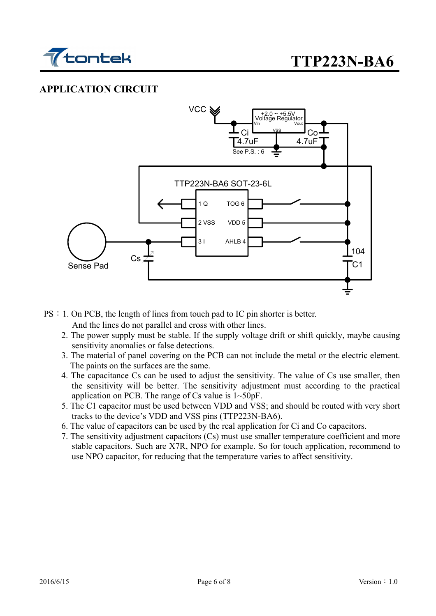

## **APPLICATION CIRCUIT**



PS:1. On PCB, the length of lines from touch pad to IC pin shorter is better.

And the lines do not parallel and cross with other lines.

- 2. The power supply must be stable. If the supply voltage drift or shift quickly, maybe causing sensitivity anomalies or false detections.
- 3. The material of panel covering on the PCB can not include the metal or the electric element. The paints on the surfaces are the same.
- 4. The capacitance Cs can be used to adjust the sensitivity. The value of Cs use smaller, then the sensitivity will be better. The sensitivity adjustment must according to the practical application on PCB. The range of Cs value is 1~50pF.
- 5. The C1 capacitor must be used between VDD and VSS; and should be routed with very short tracks to the device's VDD and VSS pins (TTP223N-BA6).
- 6. The value of capacitors can be used by the real application for Ci and Co capacitors.
- 7. The sensitivity adjustment capacitors (Cs) must use smaller temperature coefficient and more stable capacitors. Such are X7R, NPO for example. So for touch application, recommend to use NPO capacitor, for reducing that the temperature varies to affect sensitivity.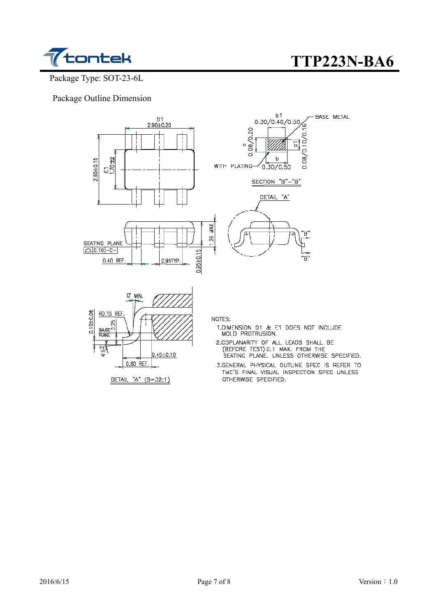

Package Type: SOT-23-6L

Package Outline Dimension